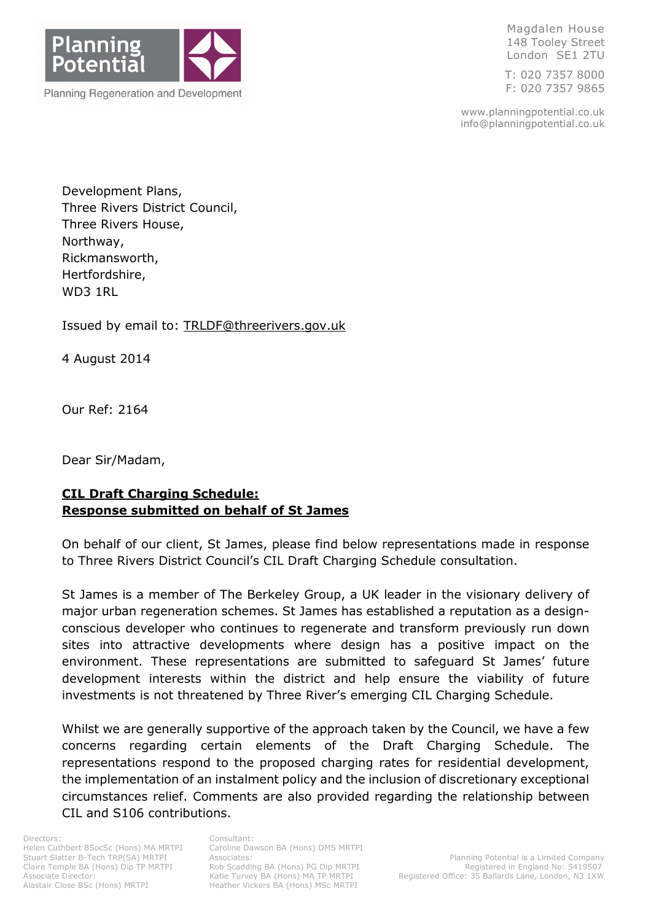

Magdalen House 148 Tooley Street London SE1 2TU

T: 020 7357 8000 F: 020 7357 9865

www.planningpotential.co.uk info@planningpotential.co.uk

Development Plans, Three Rivers District Council, Three Rivers House, Northway, Rickmansworth, Hertfordshire, WD3 1RL

Issued by email to: TRLDF@threerivers.gov.uk

4 August 2014

Our Ref: 2164

Dear Sir/Madam,

# CIL Draft Charging Schedule: Response submitted on behalf of St James

On behalf of our client, St James, please find below representations made in response to Three Rivers District Council's CIL Draft Charging Schedule consultation.

St James is a member of The Berkeley Group, a UK leader in the visionary delivery of major urban regeneration schemes. St James has established a reputation as a designconscious developer who continues to regenerate and transform previously run down sites into attractive developments where design has a positive impact on the environment. These representations are submitted to safeguard St James' future development interests within the district and help ensure the viability of future investments is not threatened by Three River's emerging CIL Charging Schedule.

Whilst we are generally supportive of the approach taken by the Council, we have a few concerns regarding certain elements of the Draft Charging Schedule. The representations respond to the proposed charging rates for residential development, the implementation of an instalment policy and the inclusion of discretionary exceptional circumstances relief. Comments are also provided regarding the relationship between CIL and S106 contributions.

Rob Scadding BA (Hons) PG Dip MRTPI<br>Katie Turvey BA (Hons) MA TP MRTPI Heather Vickers BA (Hons) MSc MRTPI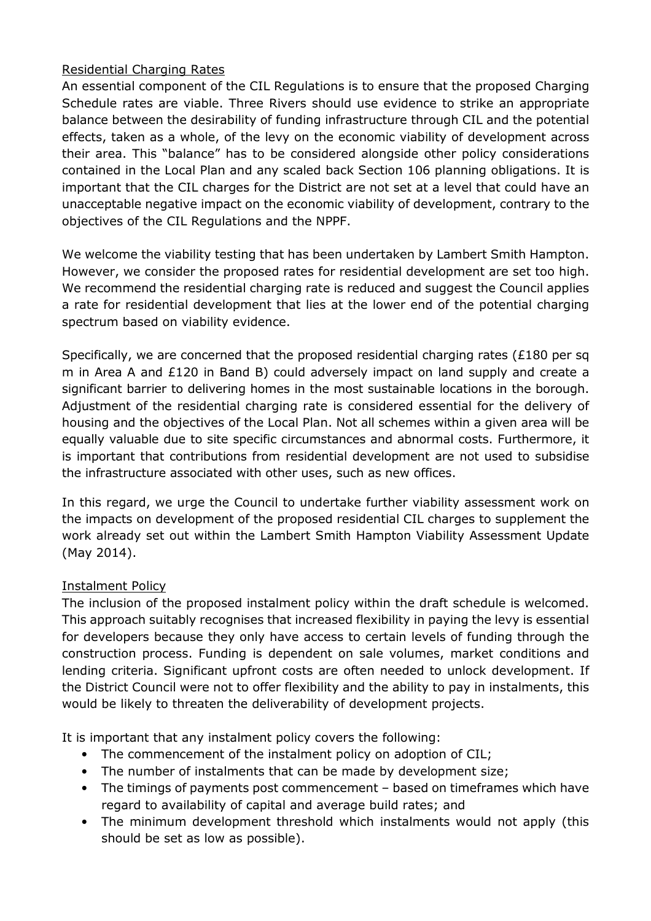## Residential Charging Rates

An essential component of the CIL Regulations is to ensure that the proposed Charging Schedule rates are viable. Three Rivers should use evidence to strike an appropriate balance between the desirability of funding infrastructure through CIL and the potential effects, taken as a whole, of the levy on the economic viability of development across their area. This "balance" has to be considered alongside other policy considerations contained in the Local Plan and any scaled back Section 106 planning obligations. It is important that the CIL charges for the District are not set at a level that could have an unacceptable negative impact on the economic viability of development, contrary to the objectives of the CIL Regulations and the NPPF.

We welcome the viability testing that has been undertaken by Lambert Smith Hampton. However, we consider the proposed rates for residential development are set too high. We recommend the residential charging rate is reduced and suggest the Council applies a rate for residential development that lies at the lower end of the potential charging spectrum based on viability evidence.

Specifically, we are concerned that the proposed residential charging rates (£180 per sq m in Area A and £120 in Band B) could adversely impact on land supply and create a significant barrier to delivering homes in the most sustainable locations in the borough. Adjustment of the residential charging rate is considered essential for the delivery of housing and the objectives of the Local Plan. Not all schemes within a given area will be equally valuable due to site specific circumstances and abnormal costs. Furthermore, it is important that contributions from residential development are not used to subsidise the infrastructure associated with other uses, such as new offices.

In this regard, we urge the Council to undertake further viability assessment work on the impacts on development of the proposed residential CIL charges to supplement the work already set out within the Lambert Smith Hampton Viability Assessment Update (May 2014).

## Instalment Policy

The inclusion of the proposed instalment policy within the draft schedule is welcomed. This approach suitably recognises that increased flexibility in paying the levy is essential for developers because they only have access to certain levels of funding through the construction process. Funding is dependent on sale volumes, market conditions and lending criteria. Significant upfront costs are often needed to unlock development. If the District Council were not to offer flexibility and the ability to pay in instalments, this would be likely to threaten the deliverability of development projects.

It is important that any instalment policy covers the following:

- The commencement of the instalment policy on adoption of CIL;
- The number of instalments that can be made by development size;
- The timings of payments post commencement based on timeframes which have regard to availability of capital and average build rates; and
- The minimum development threshold which instalments would not apply (this should be set as low as possible).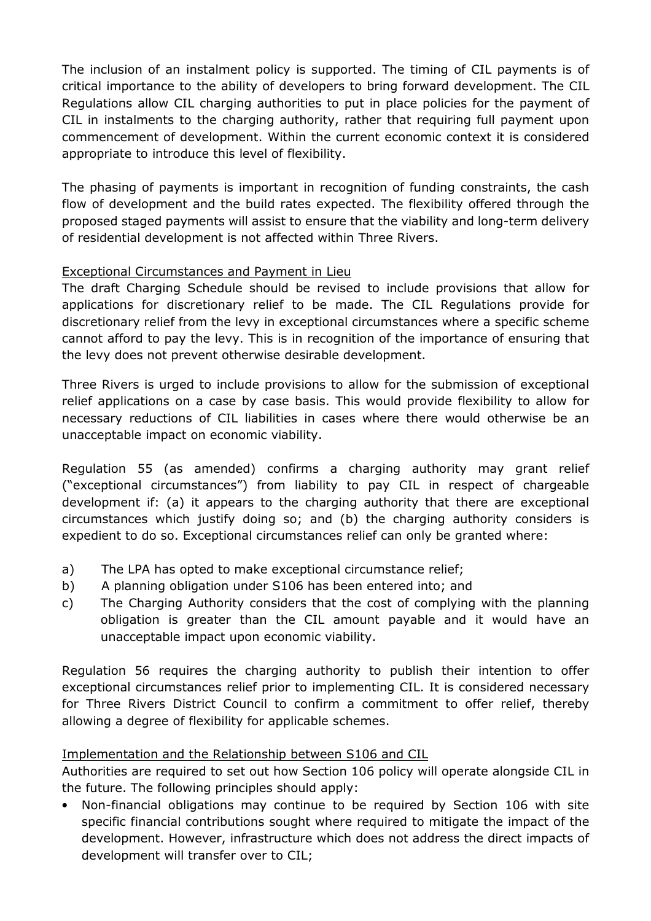The inclusion of an instalment policy is supported. The timing of CIL payments is of critical importance to the ability of developers to bring forward development. The CIL Regulations allow CIL charging authorities to put in place policies for the payment of CIL in instalments to the charging authority, rather that requiring full payment upon commencement of development. Within the current economic context it is considered appropriate to introduce this level of flexibility.

The phasing of payments is important in recognition of funding constraints, the cash flow of development and the build rates expected. The flexibility offered through the proposed staged payments will assist to ensure that the viability and long-term delivery of residential development is not affected within Three Rivers.

## Exceptional Circumstances and Payment in Lieu

The draft Charging Schedule should be revised to include provisions that allow for applications for discretionary relief to be made. The CIL Regulations provide for discretionary relief from the levy in exceptional circumstances where a specific scheme cannot afford to pay the levy. This is in recognition of the importance of ensuring that the levy does not prevent otherwise desirable development.

Three Rivers is urged to include provisions to allow for the submission of exceptional relief applications on a case by case basis. This would provide flexibility to allow for necessary reductions of CIL liabilities in cases where there would otherwise be an unacceptable impact on economic viability.

Regulation 55 (as amended) confirms a charging authority may grant relief ("exceptional circumstances") from liability to pay CIL in respect of chargeable development if: (a) it appears to the charging authority that there are exceptional circumstances which justify doing so; and (b) the charging authority considers is expedient to do so. Exceptional circumstances relief can only be granted where:

- a) The LPA has opted to make exceptional circumstance relief;
- b) A planning obligation under S106 has been entered into; and
- c) The Charging Authority considers that the cost of complying with the planning obligation is greater than the CIL amount payable and it would have an unacceptable impact upon economic viability.

Regulation 56 requires the charging authority to publish their intention to offer exceptional circumstances relief prior to implementing CIL. It is considered necessary for Three Rivers District Council to confirm a commitment to offer relief, thereby allowing a degree of flexibility for applicable schemes.

## Implementation and the Relationship between S106 and CIL

Authorities are required to set out how Section 106 policy will operate alongside CIL in the future. The following principles should apply:

• Non-financial obligations may continue to be required by Section 106 with site specific financial contributions sought where required to mitigate the impact of the development. However, infrastructure which does not address the direct impacts of development will transfer over to CIL;